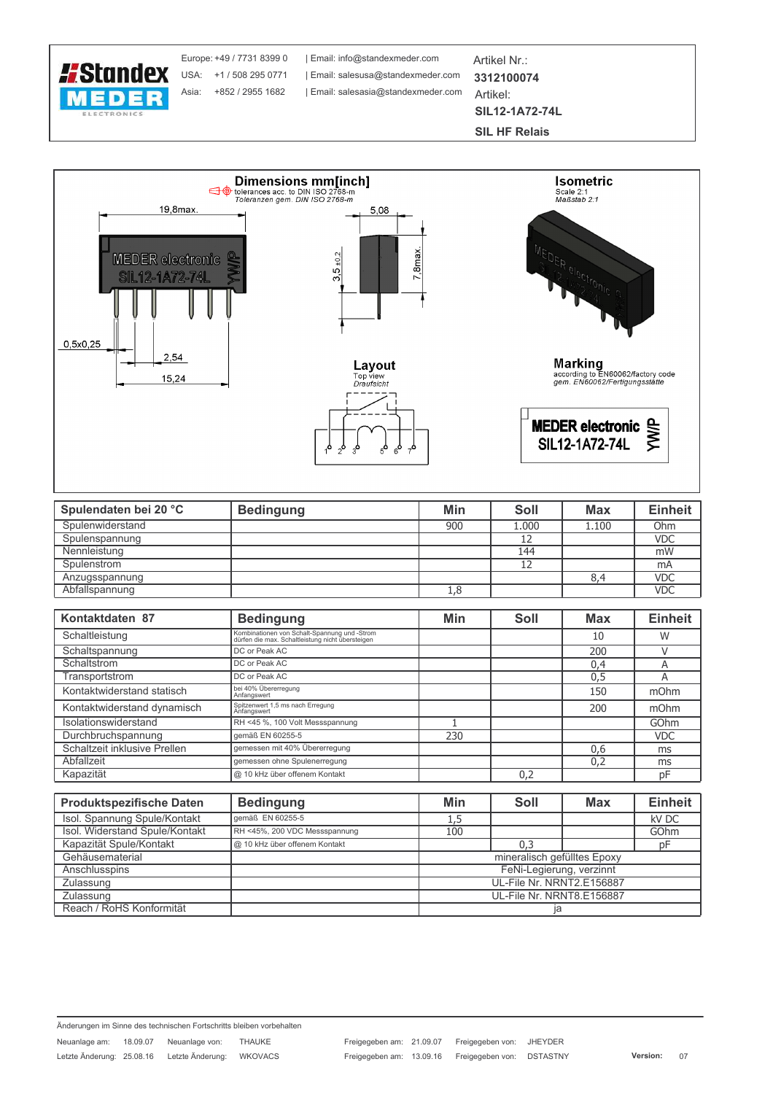

Europe: +49 / 7731 8399 0 Asia: +852 / 2955 1682

| Email: info@standexmeder.com | Email: salesasia@standexmeder.com Artikel Nr.: 3312100074 Artikel: **SIL12-1A72-74L** 

**SIL HF Relais** 



| Spulendaten bei 20 °C | <b>Bedingung</b> | Min | Soll  | <b>Max</b> | <b>Einheit</b> |
|-----------------------|------------------|-----|-------|------------|----------------|
| Spulenwiderstand      |                  | 900 | 1.000 | 1.100      | Ohm            |
| Spulenspannung        |                  |     | 12    |            | <b>VDC</b>     |
| Nennleistung          |                  |     | 144   |            | mW             |
| Spulenstrom           |                  |     | 12    |            | mA             |
| Anzugsspannung        |                  |     |       |            | <b>VDC</b>     |
| Abfallspannung        |                  | 1,8 |       |            | <b>VDC</b>     |

| Kontaktdaten 87              | <b>Bedingung</b>                                                                                 | Min | Soll | <b>Max</b> | <b>Einheit</b> |
|------------------------------|--------------------------------------------------------------------------------------------------|-----|------|------------|----------------|
| Schaltleistung               | Kombinationen von Schalt-Spannung und -Strom<br>dürfen die max. Schaltleistung nicht übersteigen |     |      | 10         | W              |
| Schaltspannung               | DC or Peak AC                                                                                    |     |      | 200        |                |
| Schaltstrom                  | DC or Peak AC                                                                                    |     |      | 0,4        | A              |
| Transportstrom               | DC or Peak AC                                                                                    |     |      | 0,5        | A              |
| Kontaktwiderstand statisch   | bei 40% Übererregung<br>Anfangswert                                                              |     |      | 150        | mOhm           |
| Kontaktwiderstand dynamisch  | Spitzenwert 1,5 ms nach Erregung<br>Anfangswert                                                  |     |      | 200        | mOhm           |
| Isolationswiderstand         | RH <45 %, 100 Volt Messspannung                                                                  |     |      |            | GOhm           |
| Durchbruchspannung           | gemäß EN 60255-5                                                                                 | 230 |      |            | <b>VDC</b>     |
| Schaltzeit inklusive Prellen | gemessen mit 40% Übererregung                                                                    |     |      | 0,6        | ms             |
| Abfallzeit                   | gemessen ohne Spulenerregung                                                                     |     |      | 0.2        | ms             |
| Kapazität                    | @ 10 kHz über offenem Kontakt                                                                    |     | 0,2  |            | pF             |
|                              |                                                                                                  |     |      |            |                |

| <b>Produktspezifische Daten</b> | <b>Bedingung</b>              | Min                         | Soll | <b>Max</b> | <b>Einheit</b> |  |
|---------------------------------|-------------------------------|-----------------------------|------|------------|----------------|--|
| Isol. Spannung Spule/Kontakt    | aemäß EN 60255-5              | 1,5                         |      |            | kV DC          |  |
| Isol. Widerstand Spule/Kontakt  | RH <45%, 200 VDC Messspannung | 100                         |      |            | GOhm           |  |
| Kapazität Spule/Kontakt         | @ 10 kHz über offenem Kontakt |                             | 0,3  |            | рF             |  |
| Gehäusematerial                 |                               | mineralisch gefülltes Epoxy |      |            |                |  |
| Anschlusspins                   |                               | FeNi-Legierung, verzinnt    |      |            |                |  |
| Zulassung                       |                               | UL-File Nr. NRNT2.E156887   |      |            |                |  |
| Zulassung                       |                               | UL-File Nr. NRNT8.E156887   |      |            |                |  |
| Reach / RoHS Konformität        |                               |                             |      |            |                |  |

Änderungen im Sinne des technischen Fortschritts bleiben vorbehalten